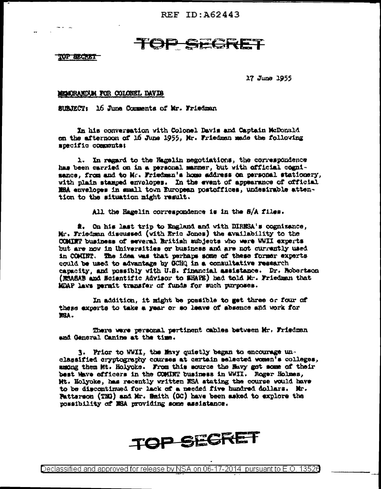REF ID: A62443

## TOP SECRE

TOP BECRET

17 June 1955

## MEMORANDUM FOR COLONEL DAVIS

SUBJECT: 16 June Comments of Mr. Friedman

In his conversation with Colonel Davis and Captain McDonald on the afternoon of 16 June 1955, Mr. Friedman made the following mpecific commentat

1. In regard to the Regelin negotiations, the correspondence has been carried on in a personal manner, but with official cognisance, from and to Mr. Friedman's home address on personal stationery, with plain stamped envolopes. In the event of appearance of official MBA envelopes in small town European postoffices, undesirable attention to the situation might result.

All the Hagelin correspondence is in the 8/A files.

2. On his last trip to England and with DIRNSA's cognizance. Mr. Friedman disquesed (with Eric Jones) the availability to the COMINT business of several British subjects who were WWII experts but are now in Universities or business and are not currently used in COMINT. The idea was that perhaps some of these former experts could be used to advantage by OCHQ in a consultative research capacity, and possibly with U.S. financial assistance. Dr. Robertson (MSASAB and Scientific Advisor to SEAFE) had told Mr. Friedman that MDAP laws permit transfer of funds for such purposes.

In addition, it might be possible to get three or four of these experts to take a year or so leave of absence and work for **NSA.** 

There were personal pertinent cables between Mr. Friedman and General Canine at the time.

3. Prior to WWII, the Mavy quietly began to encourage unclassified cryptography courses at certain selected women's colleges, among them Mt. Holyoke. From this source the Mavy got some of their best Have officers in the COMINT business in WWII. Roger Holmes, Mt. Holyoke, has recently written NSA stating the course would have to be discontinued for lack of a needed five hundred dollars. Mr. Patterson (TNG) and Mr. Smith (GC) have been asked to explore the possibility of MSA providing some assistance.